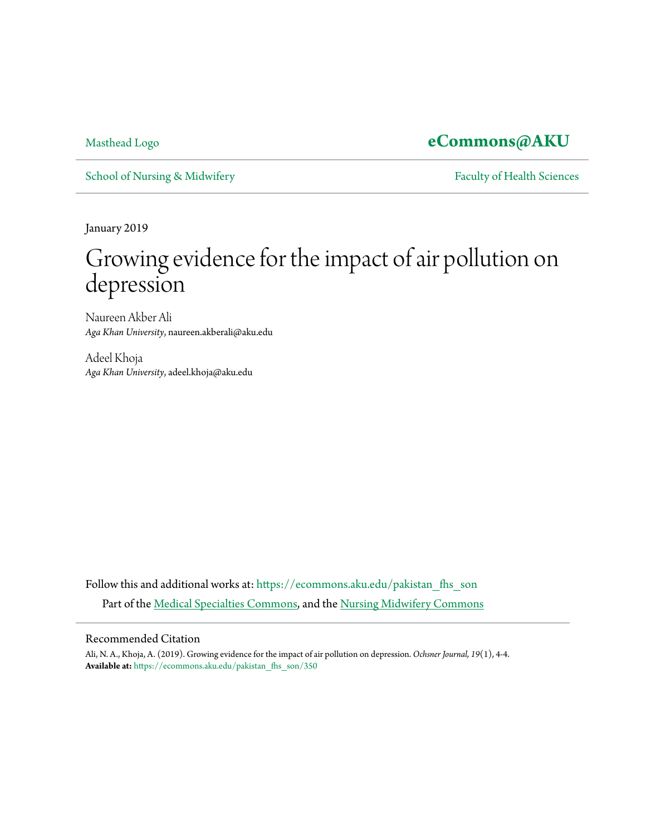### [Masthead Logo](http://www.aku.edu/Pages/home.aspx?utm_source=ecommons.aku.edu%2Fpakistan_fhs_son%2F350&utm_medium=PDF&utm_campaign=PDFCoverPages) **[eCommons@AKU](https://ecommons.aku.edu?utm_source=ecommons.aku.edu%2Fpakistan_fhs_son%2F350&utm_medium=PDF&utm_campaign=PDFCoverPages)**

[School of Nursing & Midwifery](https://ecommons.aku.edu/pakistan_fhs_son?utm_source=ecommons.aku.edu%2Fpakistan_fhs_son%2F350&utm_medium=PDF&utm_campaign=PDFCoverPages) [Faculty of Health Sciences](https://ecommons.aku.edu/pakistan_fhs?utm_source=ecommons.aku.edu%2Fpakistan_fhs_son%2F350&utm_medium=PDF&utm_campaign=PDFCoverPages)

January 2019

# Growing evidence for the impact of air pollution on depression

Naureen Akber Ali *Aga Khan University*, naureen.akberali@aku.edu

Adeel Khoja *Aga Khan University*, adeel.khoja@aku.edu

Follow this and additional works at: [https://ecommons.aku.edu/pakistan\\_fhs\\_son](https://ecommons.aku.edu/pakistan_fhs_son?utm_source=ecommons.aku.edu%2Fpakistan_fhs_son%2F350&utm_medium=PDF&utm_campaign=PDFCoverPages) Part of the [Medical Specialties Commons,](http://network.bepress.com/hgg/discipline/680?utm_source=ecommons.aku.edu%2Fpakistan_fhs_son%2F350&utm_medium=PDF&utm_campaign=PDFCoverPages) and the [Nursing Midwifery Commons](http://network.bepress.com/hgg/discipline/722?utm_source=ecommons.aku.edu%2Fpakistan_fhs_son%2F350&utm_medium=PDF&utm_campaign=PDFCoverPages)

### Recommended Citation

Ali, N. A., Khoja, A. (2019). Growing evidence for the impact of air pollution on depression. *Ochsner Journal, 19*(1), 4-4. **Available at:** [https://ecommons.aku.edu/pakistan\\_fhs\\_son/350](https://ecommons.aku.edu/pakistan_fhs_son/350)